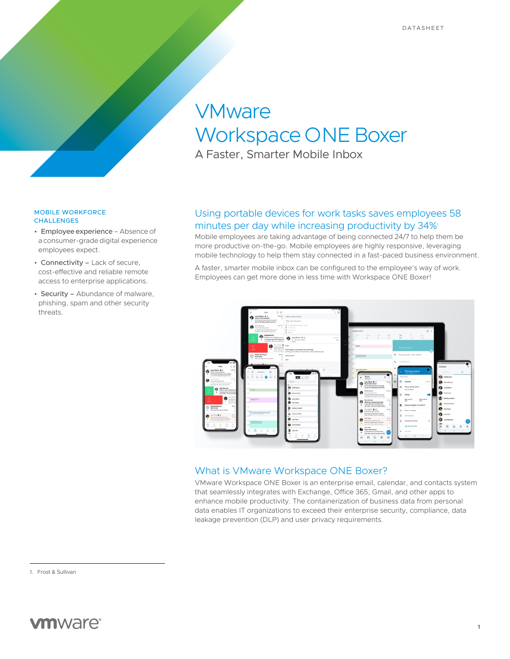# **VMware** Workspace ONE Boxer

A Faster, Smarter Mobile Inbox

#### MOBILE WORKFORCE **CHALLENGES**

- Employee experience Absence of a consumer-grade digital experience employees expect.
- Connectivity Lack of secure, cost-effective and reliable remote access to enterprise applications.
- Security Abundance of malware, phishing, spam and other security threats.

# Using portable devices for work tasks saves employees 58 minutes per day while increasing productivity by 34%

Mobile employees are taking advantage of being connected 24/7 to help them be more productive on-the-go. Mobile employees are highly responsive, leveraging mobile technology to help them stay connected in a fast-paced business environment.

A faster, smarter mobile inbox can be configured to the employee's way of work. Employees can get more done in less time with Workspace ONE Boxer!



# What is VMware Workspace ONE Boxer?

VMware Workspace ONE Boxer is an enterprise email, calendar, and contacts system that seamlessly integrates with Exchange, Office 365, Gmail, and other apps to enhance mobile productivity. The containerization of business data from personal data enables IT organizations to exceed their enterprise security, compliance, data leakage prevention (DLP) and user privacy requirements.

1. Frost & Sullivan